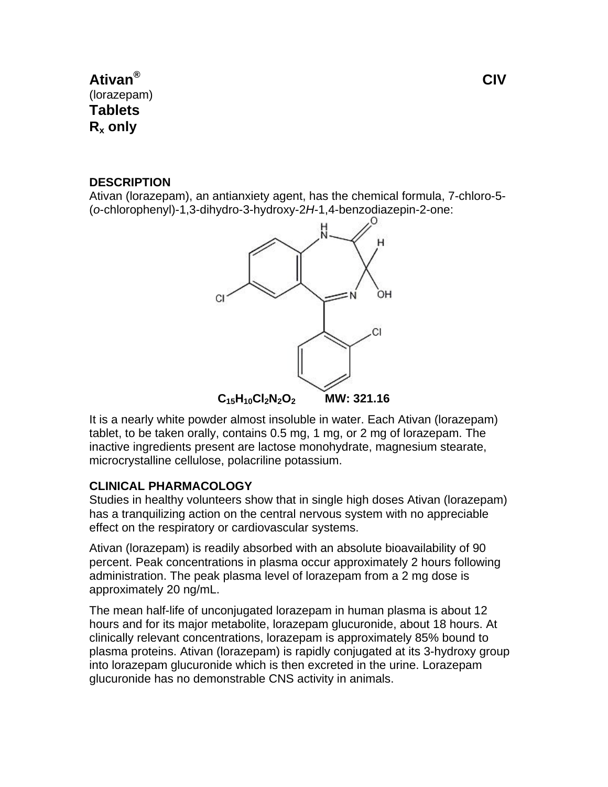# **Ativan®** (lorazepam) **Tablets Rx only**

# **DESCRIPTION**

Ativan (lorazepam), an antianxiety agent, has the chemical formula, 7-chloro-5- (*o*-chlorophenyl)-1,3-dihydro-3-hydroxy-2*H*-1,4-benzodiazepin-2-one:



It is a nearly white powder almost insoluble in water. Each Ativan (lorazepam) tablet, to be taken orally, contains 0.5 mg, 1 mg, or 2 mg of lorazepam. The inactive ingredients present are lactose monohydrate, magnesium stearate, microcrystalline cellulose, polacriline potassium.

# **CLINICAL PHARMACOLOGY**

Studies in healthy volunteers show that in single high doses Ativan (lorazepam) has a tranquilizing action on the central nervous system with no appreciable effect on the respiratory or cardiovascular systems.

Ativan (lorazepam) is readily absorbed with an absolute bioavailability of 90 percent. Peak concentrations in plasma occur approximately 2 hours following administration. The peak plasma level of lorazepam from a 2 mg dose is approximately 20 ng/mL.

The mean half-life of unconjugated lorazepam in human plasma is about 12 hours and for its major metabolite, lorazepam glucuronide, about 18 hours. At clinically relevant concentrations, lorazepam is approximately 85% bound to plasma proteins. Ativan (lorazepam) is rapidly conjugated at its 3-hydroxy group into lorazepam glucuronide which is then excreted in the urine. Lorazepam glucuronide has no demonstrable CNS activity in animals.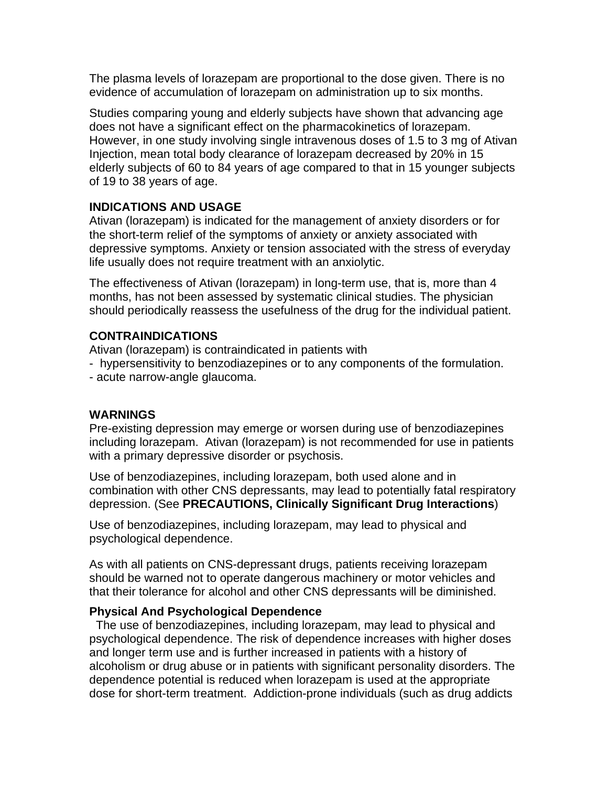The plasma levels of lorazepam are proportional to the dose given. There is no evidence of accumulation of lorazepam on administration up to six months.

Studies comparing young and elderly subjects have shown that advancing age does not have a significant effect on the pharmacokinetics of lorazepam. However, in one study involving single intravenous doses of 1.5 to 3 mg of Ativan Injection, mean total body clearance of lorazepam decreased by 20% in 15 elderly subjects of 60 to 84 years of age compared to that in 15 younger subjects of 19 to 38 years of age.

# **INDICATIONS AND USAGE**

Ativan (lorazepam) is indicated for the management of anxiety disorders or for the short-term relief of the symptoms of anxiety or anxiety associated with depressive symptoms. Anxiety or tension associated with the stress of everyday life usually does not require treatment with an anxiolytic.

The effectiveness of Ativan (lorazepam) in long-term use, that is, more than 4 months, has not been assessed by systematic clinical studies. The physician should periodically reassess the usefulness of the drug for the individual patient.

# **CONTRAINDICATIONS**

Ativan (lorazepam) is contraindicated in patients with

- hypersensitivity to benzodiazepines or to any components of the formulation.
- acute narrow-angle glaucoma.

# **WARNINGS**

Pre-existing depression may emerge or worsen during use of benzodiazepines including lorazepam. Ativan (lorazepam) is not recommended for use in patients with a primary depressive disorder or psychosis.

Use of benzodiazepines, including lorazepam, both used alone and in combination with other CNS depressants, may lead to potentially fatal respiratory depression. (See **PRECAUTIONS, Clinically Significant Drug Interactions**)

Use of benzodiazepines, including lorazepam, may lead to physical and psychological dependence.

As with all patients on CNS-depressant drugs, patients receiving lorazepam should be warned not to operate dangerous machinery or motor vehicles and that their tolerance for alcohol and other CNS depressants will be diminished.

# **Physical And Psychological Dependence**

 The use of benzodiazepines, including lorazepam, may lead to physical and psychological dependence. The risk of dependence increases with higher doses and longer term use and is further increased in patients with a history of alcoholism or drug abuse or in patients with significant personality disorders. The dependence potential is reduced when lorazepam is used at the appropriate dose for short-term treatment. Addiction-prone individuals (such as drug addicts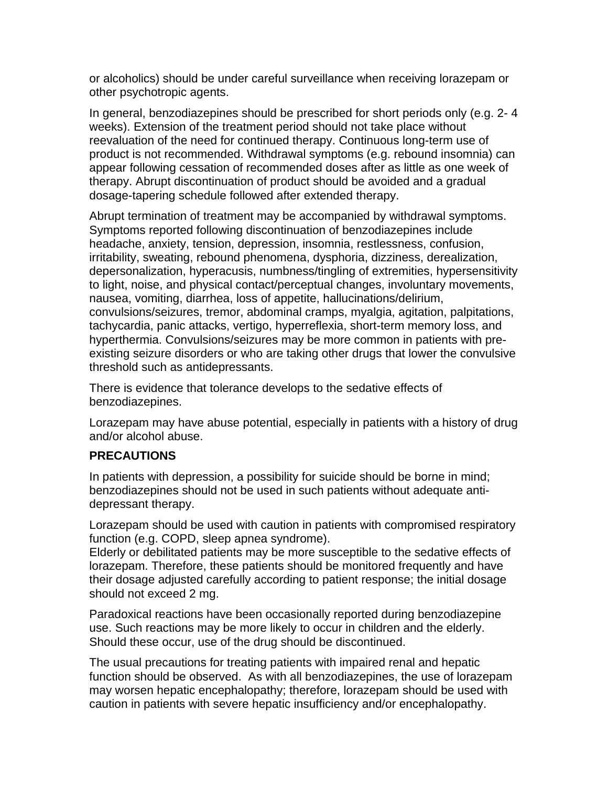or alcoholics) should be under careful surveillance when receiving lorazepam or other psychotropic agents.

In general, benzodiazepines should be prescribed for short periods only (e.g. 2- 4 weeks). Extension of the treatment period should not take place without reevaluation of the need for continued therapy. Continuous long-term use of product is not recommended. Withdrawal symptoms (e.g. rebound insomnia) can appear following cessation of recommended doses after as little as one week of therapy. Abrupt discontinuation of product should be avoided and a gradual dosage-tapering schedule followed after extended therapy.

Abrupt termination of treatment may be accompanied by withdrawal symptoms. Symptoms reported following discontinuation of benzodiazepines include headache, anxiety, tension, depression, insomnia, restlessness, confusion, irritability, sweating, rebound phenomena, dysphoria, dizziness, derealization, depersonalization, hyperacusis, numbness/tingling of extremities, hypersensitivity to light, noise, and physical contact/perceptual changes, involuntary movements, nausea, vomiting, diarrhea, loss of appetite, hallucinations/delirium, convulsions/seizures, tremor, abdominal cramps, myalgia, agitation, palpitations, tachycardia, panic attacks, vertigo, hyperreflexia, short-term memory loss, and hyperthermia. Convulsions/seizures may be more common in patients with preexisting seizure disorders or who are taking other drugs that lower the convulsive threshold such as antidepressants.

There is evidence that tolerance develops to the sedative effects of benzodiazepines.

Lorazepam may have abuse potential, especially in patients with a history of drug and/or alcohol abuse.

# **PRECAUTIONS**

In patients with depression, a possibility for suicide should be borne in mind; benzodiazepines should not be used in such patients without adequate antidepressant therapy.

Lorazepam should be used with caution in patients with compromised respiratory function (e.g. COPD, sleep apnea syndrome).

Elderly or debilitated patients may be more susceptible to the sedative effects of lorazepam. Therefore, these patients should be monitored frequently and have their dosage adjusted carefully according to patient response; the initial dosage should not exceed 2 mg.

Paradoxical reactions have been occasionally reported during benzodiazepine use. Such reactions may be more likely to occur in children and the elderly. Should these occur, use of the drug should be discontinued.

The usual precautions for treating patients with impaired renal and hepatic function should be observed. As with all benzodiazepines, the use of lorazepam may worsen hepatic encephalopathy; therefore, lorazepam should be used with caution in patients with severe hepatic insufficiency and/or encephalopathy.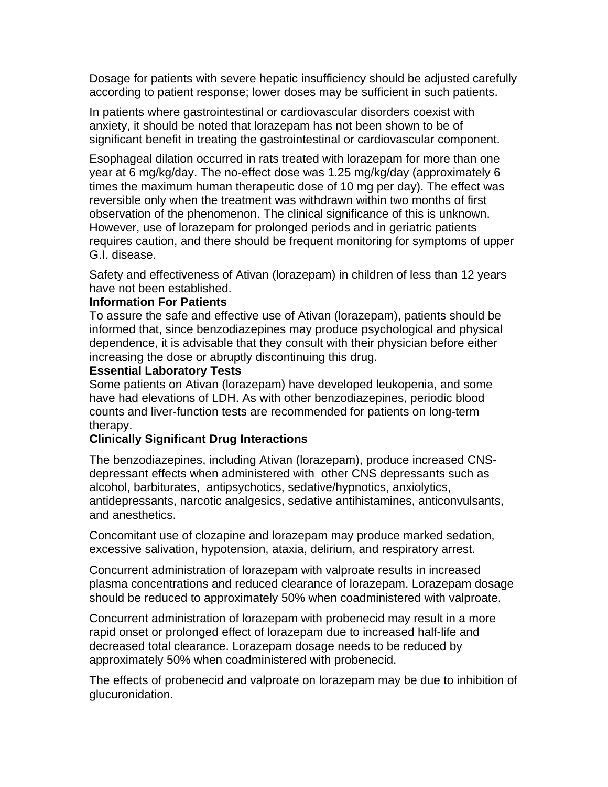Dosage for patients with severe hepatic insufficiency should be adjusted carefully according to patient response; lower doses may be sufficient in such patients.

In patients where gastrointestinal or cardiovascular disorders coexist with anxiety, it should be noted that lorazepam has not been shown to be of significant benefit in treating the gastrointestinal or cardiovascular component.

Esophageal dilation occurred in rats treated with lorazepam for more than one year at 6 mg/kg/day. The no-effect dose was 1.25 mg/kg/day (approximately 6 times the maximum human therapeutic dose of 10 mg per day). The effect was reversible only when the treatment was withdrawn within two months of first observation of the phenomenon. The clinical significance of this is unknown. However, use of lorazepam for prolonged periods and in geriatric patients requires caution, and there should be frequent monitoring for symptoms of upper G.I. disease.

Safety and effectiveness of Ativan (lorazepam) in children of less than 12 years have not been established.

#### **Information For Patients**

To assure the safe and effective use of Ativan (lorazepam), patients should be informed that, since benzodiazepines may produce psychological and physical dependence, it is advisable that they consult with their physician before either increasing the dose or abruptly discontinuing this drug.

#### **Essential Laboratory Tests**

Some patients on Ativan (lorazepam) have developed leukopenia, and some have had elevations of LDH. As with other benzodiazepines, periodic blood counts and liver-function tests are recommended for patients on long-term therapy.

# **Clinically Significant Drug Interactions**

The benzodiazepines, including Ativan (lorazepam), produce increased CNSdepressant effects when administered with other CNS depressants such as alcohol, barbiturates, antipsychotics, sedative/hypnotics, anxiolytics, antidepressants, narcotic analgesics, sedative antihistamines, anticonvulsants, and anesthetics.

Concomitant use of clozapine and lorazepam may produce marked sedation, excessive salivation, hypotension, ataxia, delirium, and respiratory arrest.

Concurrent administration of lorazepam with valproate results in increased plasma concentrations and reduced clearance of lorazepam. Lorazepam dosage should be reduced to approximately 50% when coadministered with valproate.

Concurrent administration of lorazepam with probenecid may result in a more rapid onset or prolonged effect of lorazepam due to increased half-life and decreased total clearance. Lorazepam dosage needs to be reduced by approximately 50% when coadministered with probenecid.

The effects of probenecid and valproate on lorazepam may be due to inhibition of glucuronidation.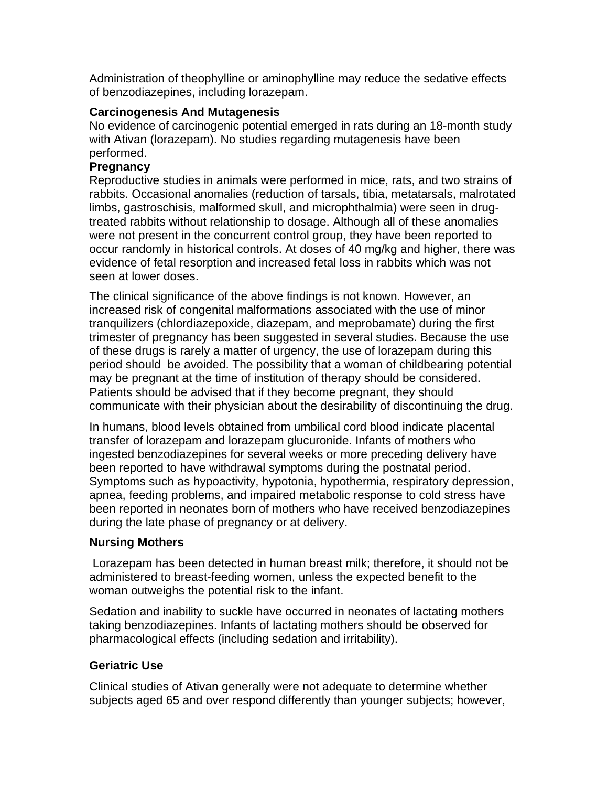Administration of theophylline or aminophylline may reduce the sedative effects of benzodiazepines, including lorazepam.

# **Carcinogenesis And Mutagenesis**

No evidence of carcinogenic potential emerged in rats during an 18-month study with Ativan (lorazepam). No studies regarding mutagenesis have been performed.

### **Pregnancy**

Reproductive studies in animals were performed in mice, rats, and two strains of rabbits. Occasional anomalies (reduction of tarsals, tibia, metatarsals, malrotated limbs, gastroschisis, malformed skull, and microphthalmia) were seen in drugtreated rabbits without relationship to dosage. Although all of these anomalies were not present in the concurrent control group, they have been reported to occur randomly in historical controls. At doses of 40 mg/kg and higher, there was evidence of fetal resorption and increased fetal loss in rabbits which was not seen at lower doses.

The clinical significance of the above findings is not known. However, an increased risk of congenital malformations associated with the use of minor tranquilizers (chlordiazepoxide, diazepam, and meprobamate) during the first trimester of pregnancy has been suggested in several studies. Because the use of these drugs is rarely a matter of urgency, the use of lorazepam during this period should be avoided. The possibility that a woman of childbearing potential may be pregnant at the time of institution of therapy should be considered. Patients should be advised that if they become pregnant, they should communicate with their physician about the desirability of discontinuing the drug.

In humans, blood levels obtained from umbilical cord blood indicate placental transfer of lorazepam and lorazepam glucuronide. Infants of mothers who ingested benzodiazepines for several weeks or more preceding delivery have been reported to have withdrawal symptoms during the postnatal period. Symptoms such as hypoactivity, hypotonia, hypothermia, respiratory depression, apnea, feeding problems, and impaired metabolic response to cold stress have been reported in neonates born of mothers who have received benzodiazepines during the late phase of pregnancy or at delivery.

# **Nursing Mothers**

 Lorazepam has been detected in human breast milk; therefore, it should not be administered to breast-feeding women, unless the expected benefit to the woman outweighs the potential risk to the infant.

Sedation and inability to suckle have occurred in neonates of lactating mothers taking benzodiazepines. Infants of lactating mothers should be observed for pharmacological effects (including sedation and irritability).

# **Geriatric Use**

Clinical studies of Ativan generally were not adequate to determine whether subjects aged 65 and over respond differently than younger subjects; however,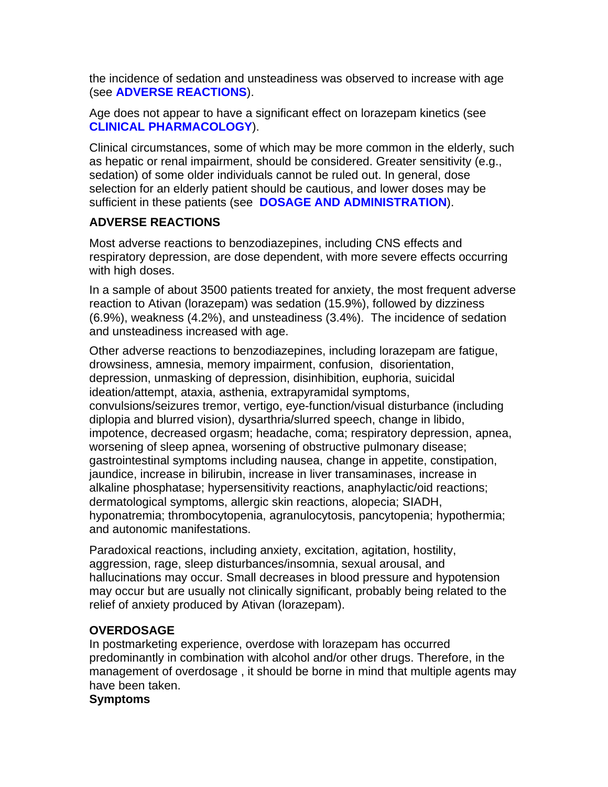the incidence of sedation and unsteadiness was observed to increase with age (see **ADVERSE REACTIONS**).

Age does not appear to have a significant effect on lorazepam kinetics (see **CLINICAL PHARMACOLOGY**).

Clinical circumstances, some of which may be more common in the elderly, such as hepatic or renal impairment, should be considered. Greater sensitivity (e.g., sedation) of some older individuals cannot be ruled out. In general, dose selection for an elderly patient should be cautious, and lower doses may be sufficient in these patients (see **DOSAGE AND ADMINISTRATION**).

# **ADVERSE REACTIONS**

Most adverse reactions to benzodiazepines, including CNS effects and respiratory depression, are dose dependent, with more severe effects occurring with high doses.

In a sample of about 3500 patients treated for anxiety, the most frequent adverse reaction to Ativan (lorazepam) was sedation (15.9%), followed by dizziness (6.9%), weakness (4.2%), and unsteadiness (3.4%). The incidence of sedation and unsteadiness increased with age.

Other adverse reactions to benzodiazepines, including lorazepam are fatigue, drowsiness, amnesia, memory impairment, confusion, disorientation, depression, unmasking of depression, disinhibition, euphoria, suicidal ideation/attempt, ataxia, asthenia, extrapyramidal symptoms, convulsions/seizures tremor, vertigo, eye-function/visual disturbance (including diplopia and blurred vision), dysarthria/slurred speech, change in libido, impotence, decreased orgasm; headache, coma; respiratory depression, apnea, worsening of sleep apnea, worsening of obstructive pulmonary disease; gastrointestinal symptoms including nausea, change in appetite, constipation, jaundice, increase in bilirubin, increase in liver transaminases, increase in alkaline phosphatase; hypersensitivity reactions, anaphylactic/oid reactions; dermatological symptoms, allergic skin reactions, alopecia; SIADH, hyponatremia; thrombocytopenia, agranulocytosis, pancytopenia; hypothermia; and autonomic manifestations.

Paradoxical reactions, including anxiety, excitation, agitation, hostility, aggression, rage, sleep disturbances/insomnia, sexual arousal, and hallucinations may occur. Small decreases in blood pressure and hypotension may occur but are usually not clinically significant, probably being related to the relief of anxiety produced by Ativan (lorazepam).

# **OVERDOSAGE**

In postmarketing experience, overdose with lorazepam has occurred predominantly in combination with alcohol and/or other drugs. Therefore, in the management of overdosage , it should be borne in mind that multiple agents may have been taken.

#### **Symptoms**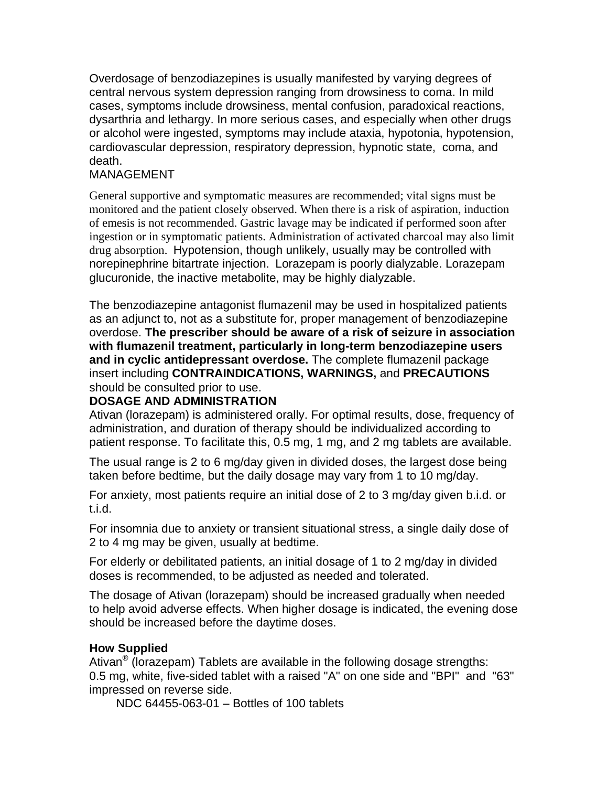Overdosage of benzodiazepines is usually manifested by varying degrees of central nervous system depression ranging from drowsiness to coma. In mild cases, symptoms include drowsiness, mental confusion, paradoxical reactions, dysarthria and lethargy. In more serious cases, and especially when other drugs or alcohol were ingested, symptoms may include ataxia, hypotonia, hypotension, cardiovascular depression, respiratory depression, hypnotic state, coma, and death.

# MANAGEMENT

General supportive and symptomatic measures are recommended; vital signs must be monitored and the patient closely observed. When there is a risk of aspiration, induction of emesis is not recommended. Gastric lavage may be indicated if performed soon after ingestion or in symptomatic patients. Administration of activated charcoal may also limit drug absorption. Hypotension, though unlikely, usually may be controlled with norepinephrine bitartrate injection. Lorazepam is poorly dialyzable. Lorazepam glucuronide, the inactive metabolite, may be highly dialyzable.

The benzodiazepine antagonist flumazenil may be used in hospitalized patients as an adjunct to, not as a substitute for, proper management of benzodiazepine overdose. **The prescriber should be aware of a risk of seizure in association with flumazenil treatment, particularly in long-term benzodiazepine users and in cyclic antidepressant overdose.** The complete flumazenil package insert including **CONTRAINDICATIONS, WARNINGS,** and **PRECAUTIONS** should be consulted prior to use.

# **DOSAGE AND ADMINISTRATION**

Ativan (lorazepam) is administered orally. For optimal results, dose, frequency of administration, and duration of therapy should be individualized according to patient response. To facilitate this, 0.5 mg, 1 mg, and 2 mg tablets are available.

The usual range is 2 to 6 mg/day given in divided doses, the largest dose being taken before bedtime, but the daily dosage may vary from 1 to 10 mg/day.

For anxiety, most patients require an initial dose of 2 to 3 mg/day given b.i.d. or t.i.d.

For insomnia due to anxiety or transient situational stress, a single daily dose of 2 to 4 mg may be given, usually at bedtime.

For elderly or debilitated patients, an initial dosage of 1 to 2 mg/day in divided doses is recommended, to be adjusted as needed and tolerated.

The dosage of Ativan (lorazepam) should be increased gradually when needed to help avoid adverse effects. When higher dosage is indicated, the evening dose should be increased before the daytime doses.

# **How Supplied**

Ativan<sup>®</sup> (lorazepam) Tablets are available in the following dosage strengths: 0.5 mg, white, five-sided tablet with a raised "A" on one side and "BPI" and "63" impressed on reverse side.

NDC 64455-063-01 – Bottles of 100 tablets